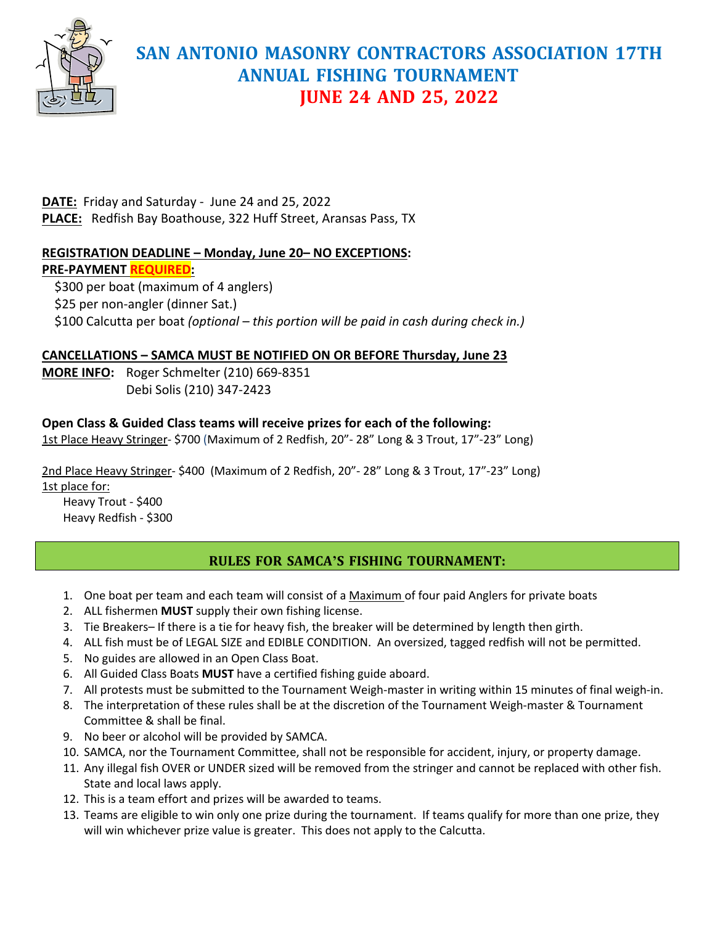

**DATE:** Friday and Saturday - June 24 and 25, 2022 **PLACE:** Redfish Bay Boathouse, 322 Huff Street, Aransas Pass, TX

#### **REGISTRATION DEADLINE – Monday, June 20– NO EXCEPTIONS: PRE-PAYMENT REQUIRED:**

 \$300 per boat (maximum of 4 anglers) \$25 per non-angler (dinner Sat.) \$100 Calcutta per boat *(optional – this portion will be paid in cash during check in.)*

#### **CANCELLATIONS – SAMCA MUST BE NOTIFIED ON OR BEFORE Thursday, June 23**

**MORE INFO:** Roger Schmelter (210) 669-8351 Debi Solis (210) 347-2423

## **Open Class & Guided Class teams will receive prizes for each of the following:**

1st Place Heavy Stringer- \$700 (Maximum of 2 Redfish, 20"- 28" Long & 3 Trout, 17"-23" Long)

2nd Place Heavy Stringer- \$400 (Maximum of 2 Redfish, 20"- 28" Long & 3 Trout, 17"-23" Long) 1st place for:

Heavy Trout - \$400 Heavy Redfish - \$300

## **RULES FOR SAMCA'S FISHING TOURNAMENT:**

- 1. One boat per team and each team will consist of a Maximum of four paid Anglers for private boats
- 2. ALL fishermen **MUST** supply their own fishing license.
- 3. Tie Breakers– If there is a tie for heavy fish, the breaker will be determined by length then girth.
- 4. ALL fish must be of LEGAL SIZE and EDIBLE CONDITION. An oversized, tagged redfish will not be permitted.
- 5. No guides are allowed in an Open Class Boat.
- 6. All Guided Class Boats **MUST** have a certified fishing guide aboard.
- 7. All protests must be submitted to the Tournament Weigh-master in writing within 15 minutes of final weigh-in.
- 8. The interpretation of these rules shall be at the discretion of the Tournament Weigh-master & Tournament Committee & shall be final.
- 9. No beer or alcohol will be provided by SAMCA.
- 10. SAMCA, nor the Tournament Committee, shall not be responsible for accident, injury, or property damage.
- 11. Any illegal fish OVER or UNDER sized will be removed from the stringer and cannot be replaced with other fish. State and local laws apply.
- 12. This is a team effort and prizes will be awarded to teams.
- 13. Teams are eligible to win only one prize during the tournament. If teams qualify for more than one prize, they will win whichever prize value is greater. This does not apply to the Calcutta.